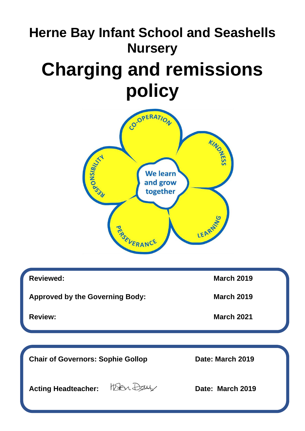# **Herne Bay Infant School and Seashells Nursery**

# **Charging and remissions policy**



| <b>Reviewed:</b>                         | <b>March 2019</b> |
|------------------------------------------|-------------------|
| <b>Approved by the Governing Body:</b>   | <b>March 2019</b> |
| <b>Review:</b>                           | <b>March 2021</b> |
|                                          |                   |
|                                          |                   |
| <b>Chair of Governors: Sophie Gollop</b> | Date: March 2019  |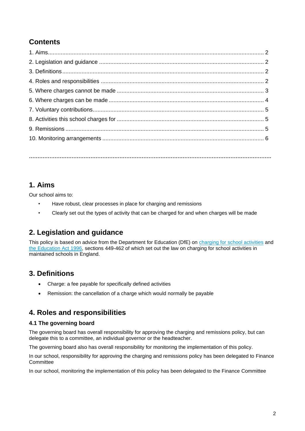# **Contents**

**…………………………………………………………………………………………………………………………….**

# **1. Aims**

Our school aims to:

- Have robust, clear processes in place for charging and remissions
- Clearly set out the types of activity that can be charged for and when charges will be made

# **2. Legislation and guidance**

This policy is based on advice from the Department for Education (DfE) on [charging for school activities](https://www.gov.uk/government/publications/charging-for-school-activities) and [the Education Act 1996,](http://www.legislation.gov.uk/ukpga/1996/56/part/VI/chapter/III) sections 449-462 of which set out the law on charging for school activities in maintained schools in England.

# **3. Definitions**

- Charge: a fee payable for specifically defined activities
- Remission: the cancellation of a charge which would normally be payable

# **4. Roles and responsibilities**

## **4.1 The governing board**

The governing board has overall responsibility for approving the charging and remissions policy, but can delegate this to a committee, an individual governor or the headteacher.

The governing board also has overall responsibility for monitoring the implementation of this policy.

In our school, responsibility for approving the charging and remissions policy has been delegated to Finance **Committee** 

In our school, monitoring the implementation of this policy has been delegated to the Finance Committee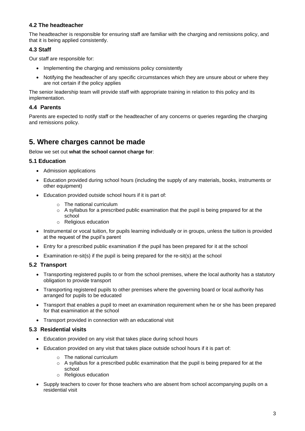## **4.2 The headteacher**

The headteacher is responsible for ensuring staff are familiar with the charging and remissions policy, and that it is being applied consistently.

## **4.3 Staff**

Our staff are responsible for:

- Implementing the charging and remissions policy consistently
- Notifying the headteacher of any specific circumstances which they are unsure about or where they are not certain if the policy applies

The senior leadership team will provide staff with appropriate training in relation to this policy and its implementation.

#### **4.4 Parents**

Parents are expected to notify staff or the headteacher of any concerns or queries regarding the charging and remissions policy.

## **5. Where charges cannot be made**

#### Below we set out **what the school cannot charge for**:

#### **5.1 Education**

- Admission applications
- Education provided during school hours (including the supply of any materials, books, instruments or other equipment)
- Education provided outside school hours if it is part of:
	- o The national curriculum
	- $\circ$  A syllabus for a prescribed public examination that the pupil is being prepared for at the school
	- o Religious education
- Instrumental or vocal tuition, for pupils learning individually or in groups, unless the tuition is provided at the request of the pupil's parent
- Entry for a prescribed public examination if the pupil has been prepared for it at the school
- Examination re-sit(s) if the pupil is being prepared for the re-sit(s) at the school

#### **5.2 Transport**

- Transporting registered pupils to or from the school premises, where the local authority has a statutory obligation to provide transport
- Transporting registered pupils to other premises where the governing board or local authority has arranged for pupils to be educated
- Transport that enables a pupil to meet an examination requirement when he or she has been prepared for that examination at the school
- Transport provided in connection with an educational visit

#### **5.3 Residential visits**

- Education provided on any visit that takes place during school hours
- Education provided on any visit that takes place outside school hours if it is part of:
	- o The national curriculum
	- $\circ$  A syllabus for a prescribed public examination that the pupil is being prepared for at the school
	- o Religious education
- Supply teachers to cover for those teachers who are absent from school accompanying pupils on a residential visit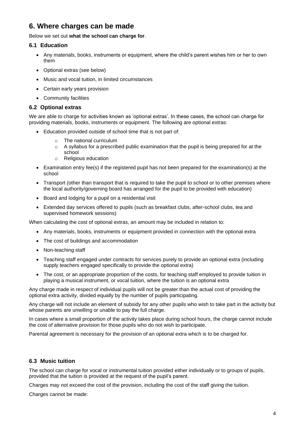# **6. Where charges can be made**

## Below we set out **what the school can charge for**.

## **6.1 Education**

- Any materials, books, instruments or equipment, where the child's parent wishes him or her to own them
- Optional extras (see below)
- Music and vocal tuition, in limited circumstances
- Certain early years provision
- Community facilities

## **6.2 Optional extras**

We are able to charge for activities known as 'optional extras'. In these cases, the school can charge for providing materials, books, instruments or equipment. The following are optional extras:

- Education provided outside of school time that is not part of:
	- o The national curriculum
	- $\circ$  A syllabus for a prescribed public examination that the pupil is being prepared for at the school
	- o Religious education
- Examination entry fee(s) if the registered pupil has not been prepared for the examination(s) at the school
- Transport (other than transport that is required to take the pupil to school or to other premises where the local authority/governing board has arranged for the pupil to be provided with education)
- Board and lodging for a pupil on a residential visit
- Extended day services offered to pupils (such as breakfast clubs, after-school clubs, tea and supervised homework sessions)

When calculating the cost of optional extras, an amount may be included in relation to:

- Any materials, books, instruments or equipment provided in connection with the optional extra
- The cost of buildings and accommodation
- Non-teaching staff
- Teaching staff engaged under contracts for services purely to provide an optional extra (including supply teachers engaged specifically to provide the optional extra)
- The cost, or an appropriate proportion of the costs, for teaching staff employed to provide tuition in playing a musical instrument, or vocal tuition, where the tuition is an optional extra

Any charge made in respect of individual pupils will not be greater than the actual cost of providing the optional extra activity, divided equally by the number of pupils participating.

Any charge will not include an element of subsidy for any other pupils who wish to take part in the activity but whose parents are unwilling or unable to pay the full charge.

In cases where a small proportion of the activity takes place during school hours, the charge cannot include the cost of alternative provision for those pupils who do not wish to participate.

Parental agreement is necessary for the provision of an optional extra which is to be charged for.

## **6.3 Music tuition**

The school can charge for vocal or instrumental tuition provided either individually or to groups of pupils, provided that the tuition is provided at the request of the pupil's parent.

Charges may not exceed the cost of the provision, including the cost of the staff giving the tuition.

Charges cannot be made: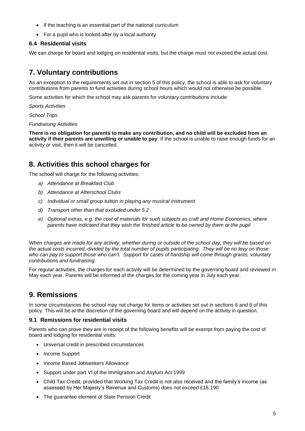- If the teaching is an essential part of the national curriculum
- For a pupil who is looked after by a local authority

## **6.4 Residential visits**

We can charge for board and lodging on residential visits, but the charge must not exceed the actual cost.

## **7. Voluntary contributions**

As an exception to the requirements set out in section 5 of this policy, the school is able to ask for voluntary contributions from parents to fund activities during school hours which would not otherwise be possible.

Some activities for which the school may ask parents for voluntary contributions include:

*Sports Activities* 

*School Trips*

*Fundraising Activities*

**There is no obligation for parents to make any contribution, and no child will be excluded from an activity if their parents are unwilling or unable to pay**. If the school is unable to raise enough funds for an activity or visit, then it will be cancelled.

# **8. Activities this school charges for**

The school will charge for the following activities:

- *a) Attendance at Breakfast Club*
- *b) Attendance at Afterschool Clubs*
- *c) Individual or small group tuition in playing any musical instrument*
- *d) Transport other than that excluded under 5.2*
- *e) Optional extras, e.g. the cost of materials for such subjects as craft and Home Economics, where parents have indicated that they wish the finished article to be owned by them or the pupil*

*When charges are made for any activity, whether during or outside of the school day, they will be based on the actual costs incurred, divided by the total number of pupils participating. They will be no levy on those*  who can pay to support those who can't. Support for cases of hardship will come through grants, voluntary *contributions and fundraising.*

For regular activities, the charges for each activity will be determined by the governing board and reviewed in May each year. Parents will be informed of the charges for the coming year in July each year.

# **9. Remissions**

In some circumstances the school may not charge for items or activities set out in sections 6 and 8 of this policy. This will be at the discretion of the governing board and will depend on the activity in question.

## **9.1 Remissions for residential visits**

Parents who can prove they are in receipt of the following benefits will be exempt from paying the cost of board and lodging for residential visits:

- Universal credit in prescribed circumstances
- Income Support
- Income Based Jobseekers Allowance
- Support under part VI of the Immigration and Asylum Act 1999
- Child Tax Credit, provided that Working Tax Credit is not also received and the family's income (as assessed by Her Majesty's Revenue and Customs) does not exceed £16,190
- The guarantee element of State Pension Credit